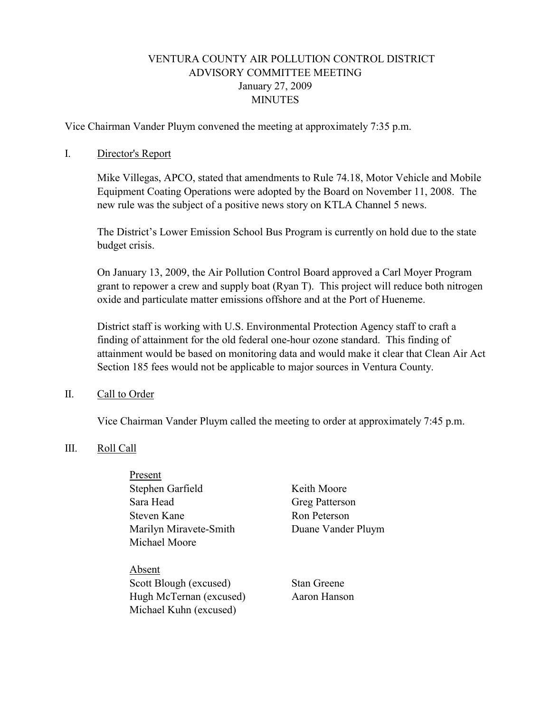# VENTURA COUNTY AIR POLLUTION CONTROL DISTRICT ADVISORY COMMITTEE MEETING January 27, 2009 **MINUTES**

Vice Chairman Vander Pluym convened the meeting at approximately 7:35 p.m.

#### I. Director's Report

Mike Villegas, APCO, stated that amendments to Rule 74.18, Motor Vehicle and Mobile Equipment Coating Operations were adopted by the Board on November 11, 2008. The new rule was the subject of a positive news story on KTLA Channel 5 news.

The District's Lower Emission School Bus Program is currently on hold due to the state budget crisis.

On January 13, 2009, the Air Pollution Control Board approved a Carl Moyer Program grant to repower a crew and supply boat (Ryan T). This project will reduce both nitrogen oxide and particulate matter emissions offshore and at the Port of Hueneme.

District staff is working with U.S. Environmental Protection Agency staff to craft a finding of attainment for the old federal one-hour ozone standard. This finding of attainment would be based on monitoring data and would make it clear that Clean Air Act Section 185 fees would not be applicable to major sources in Ventura County.

#### II. Call to Order

Vice Chairman Vander Pluym called the meeting to order at approximately 7:45 p.m.

#### III. Roll Call

**Present** Stephen Garfield Keith Moore Sara Head Greg Patterson Steven Kane Ron Peterson Marilyn Miravete-Smith Duane Vander Pluym Michael Moore

 Absent Scott Blough (excused) Stan Greene Hugh McTernan (excused) Aaron Hanson Michael Kuhn (excused)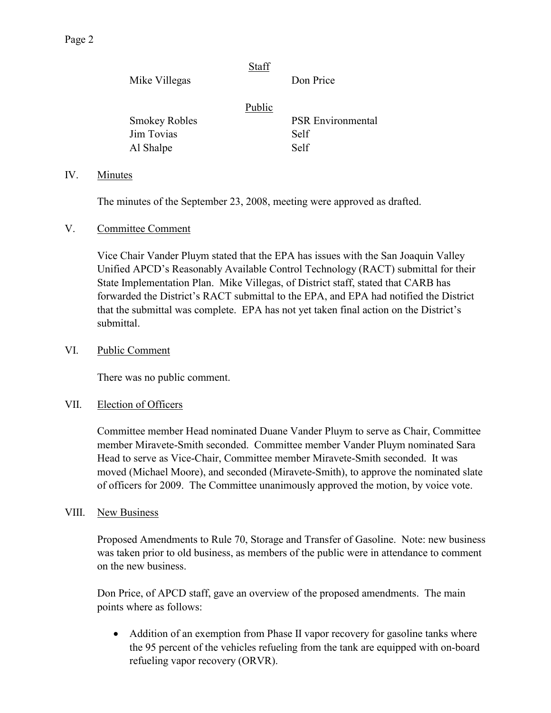| Mike Villegas        | Staff  | Don Price                |
|----------------------|--------|--------------------------|
|                      | Public |                          |
| <b>Smokey Robles</b> |        | <b>PSR</b> Environmental |
| Jim Tovias           |        | Self                     |
| Al Shalpe            |        | Self                     |
|                      |        |                          |

### IV. Minutes

The minutes of the September 23, 2008, meeting were approved as drafted.

#### V. Committee Comment

Vice Chair Vander Pluym stated that the EPA has issues with the San Joaquin Valley Unified APCD's Reasonably Available Control Technology (RACT) submittal for their State Implementation Plan. Mike Villegas, of District staff, stated that CARB has forwarded the District's RACT submittal to the EPA, and EPA had notified the District that the submittal was complete. EPA has not yet taken final action on the District's submittal.

#### VI. Public Comment

There was no public comment.

#### VII. Election of Officers

Committee member Head nominated Duane Vander Pluym to serve as Chair, Committee member Miravete-Smith seconded. Committee member Vander Pluym nominated Sara Head to serve as Vice-Chair, Committee member Miravete-Smith seconded. It was moved (Michael Moore), and seconded (Miravete-Smith), to approve the nominated slate of officers for 2009. The Committee unanimously approved the motion, by voice vote.

#### VIII. New Business

 Proposed Amendments to Rule 70, Storage and Transfer of Gasoline. Note: new business was taken prior to old business, as members of the public were in attendance to comment on the new business.

Don Price, of APCD staff, gave an overview of the proposed amendments. The main points where as follows:

• Addition of an exemption from Phase II vapor recovery for gasoline tanks where the 95 percent of the vehicles refueling from the tank are equipped with on-board refueling vapor recovery (ORVR).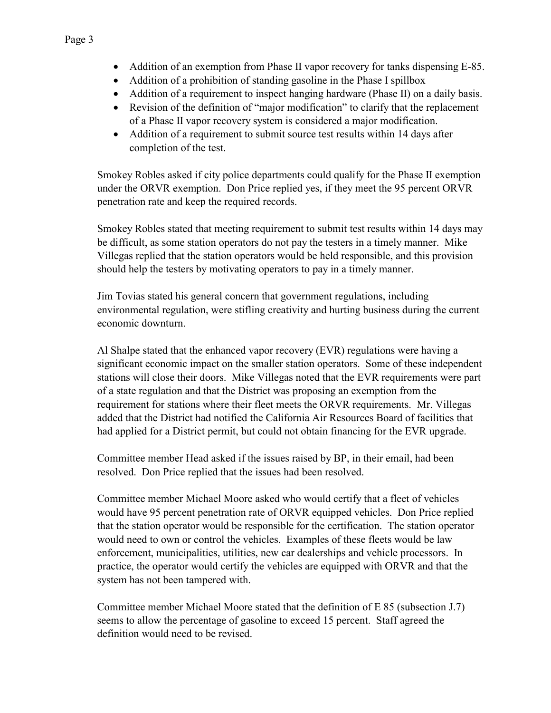- Addition of an exemption from Phase II vapor recovery for tanks dispensing E-85.
- Addition of a prohibition of standing gasoline in the Phase I spillbox
- Addition of a requirement to inspect hanging hardware (Phase II) on a daily basis.
- Revision of the definition of "major modification" to clarify that the replacement of a Phase II vapor recovery system is considered a major modification.
- Addition of a requirement to submit source test results within 14 days after completion of the test.

Smokey Robles asked if city police departments could qualify for the Phase II exemption under the ORVR exemption. Don Price replied yes, if they meet the 95 percent ORVR penetration rate and keep the required records.

Smokey Robles stated that meeting requirement to submit test results within 14 days may be difficult, as some station operators do not pay the testers in a timely manner. Mike Villegas replied that the station operators would be held responsible, and this provision should help the testers by motivating operators to pay in a timely manner.

Jim Tovias stated his general concern that government regulations, including environmental regulation, were stifling creativity and hurting business during the current economic downturn.

Al Shalpe stated that the enhanced vapor recovery (EVR) regulations were having a significant economic impact on the smaller station operators. Some of these independent stations will close their doors. Mike Villegas noted that the EVR requirements were part of a state regulation and that the District was proposing an exemption from the requirement for stations where their fleet meets the ORVR requirements. Mr. Villegas added that the District had notified the California Air Resources Board of facilities that had applied for a District permit, but could not obtain financing for the EVR upgrade.

Committee member Head asked if the issues raised by BP, in their email, had been resolved. Don Price replied that the issues had been resolved.

Committee member Michael Moore asked who would certify that a fleet of vehicles would have 95 percent penetration rate of ORVR equipped vehicles. Don Price replied that the station operator would be responsible for the certification. The station operator would need to own or control the vehicles. Examples of these fleets would be law enforcement, municipalities, utilities, new car dealerships and vehicle processors. In practice, the operator would certify the vehicles are equipped with ORVR and that the system has not been tampered with.

Committee member Michael Moore stated that the definition of E 85 (subsection J.7) seems to allow the percentage of gasoline to exceed 15 percent. Staff agreed the definition would need to be revised.